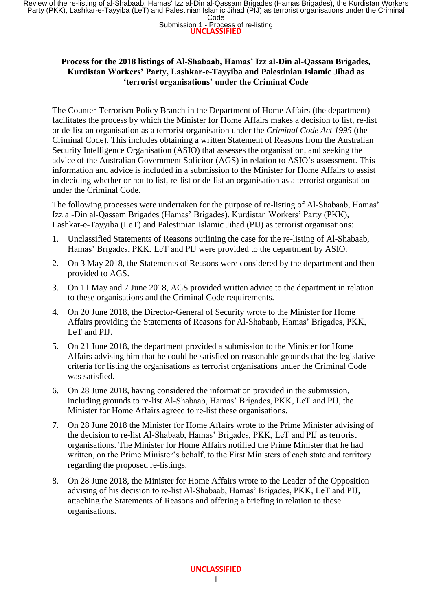Review of the re-listing of al-Shabaab, Hamas' Izz al-Din al-Qassam Brigades (Hamas Brigades), the Kurdistan Workers<br>Party (PKK), Lashkar-e-Tayyiba (LeT) and Palestinian Islamic Jihad (PIJ) as terrorist organisations under

## **Submission 1 - Process of re-listing**<br>**UNCLASSIFIED**

## **Process for the 2018 listings of Al-Shabaab, Hamas' Izz al-Din al-Qassam Brigades, Kurdistan Workers' Party, Lashkar-e-Tayyiba and Palestinian Islamic Jihad as 'terrorist organisations' under the Criminal Code**

The Counter-Terrorism Policy Branch in the Department of Home Affairs (the department) facilitates the process by which the Minister for Home Affairs makes a decision to list, re-list or de-list an organisation as a terrorist organisation under the *Criminal Code Act 1995* (the Criminal Code). This includes obtaining a written Statement of Reasons from the Australian Security Intelligence Organisation (ASIO) that assesses the organisation, and seeking the advice of the Australian Government Solicitor (AGS) in relation to ASIO's assessment. This information and advice is included in a submission to the Minister for Home Affairs to assist in deciding whether or not to list, re-list or de-list an organisation as a terrorist organisation under the Criminal Code.

The following processes were undertaken for the purpose of re-listing of Al-Shabaab, Hamas' Izz al-Din al-Qassam Brigades (Hamas' Brigades), Kurdistan Workers' Party (PKK), Lashkar-e-Tayyiba (LeT) and Palestinian Islamic Jihad (PIJ) as terrorist organisations:

- 1. Unclassified Statements of Reasons outlining the case for the re-listing of Al-Shabaab, Hamas' Brigades, PKK, LeT and PIJ were provided to the department by ASIO.
- 2. On 3 May 2018, the Statements of Reasons were considered by the department and then provided to AGS.
- 3. On 11 May and 7 June 2018, AGS provided written advice to the department in relation to these organisations and the Criminal Code requirements.
- 4. On 20 June 2018, the Director-General of Security wrote to the Minister for Home Affairs providing the Statements of Reasons for Al-Shabaab, Hamas' Brigades, PKK, LeT and PIJ.
- 5. On 21 June 2018, the department provided a submission to the Minister for Home Affairs advising him that he could be satisfied on reasonable grounds that the legislative criteria for listing the organisations as terrorist organisations under the Criminal Code was satisfied.
- 6. On 28 June 2018, having considered the information provided in the submission, including grounds to re-list Al-Shabaab, Hamas' Brigades, PKK, LeT and PIJ, the Minister for Home Affairs agreed to re-list these organisations.
- 7. On 28 June 2018 the Minister for Home Affairs wrote to the Prime Minister advising of the decision to re-list Al-Shabaab, Hamas' Brigades, PKK, LeT and PIJ as terrorist organisations. The Minister for Home Affairs notified the Prime Minister that he had written, on the Prime Minister's behalf, to the First Ministers of each state and territory regarding the proposed re-listings.
- 8. On 28 June 2018, the Minister for Home Affairs wrote to the Leader of the Opposition advising of his decision to re-list Al-Shabaab, Hamas' Brigades, PKK, LeT and PIJ, attaching the Statements of Reasons and offering a briefing in relation to these organisations.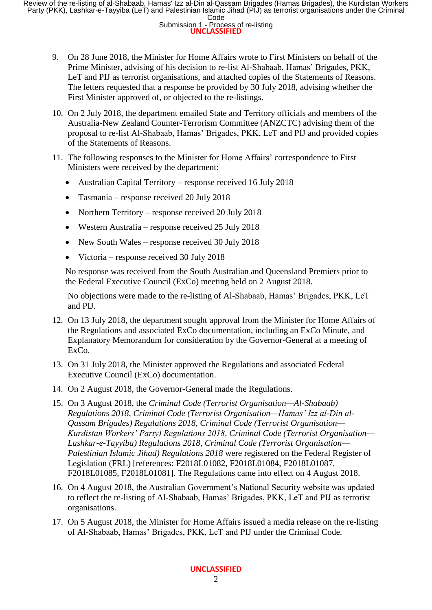Review of the re-listing of al-Shabaab, Hamas' Izz al-Din al-Qassam Brigades (Hamas Brigades), the Kurdistan Workers<br>Party (PKK), Lashkar-e-Tayyiba (LeT) and Palestinian Islamic Jihad (PIJ) as terrorist organisations under

**Submission 1 - Process of re-listing** 

- 9. On 28 June 2018, the Minister for Home Affairs wrote to First Ministers on behalf of the Prime Minister, advising of his decision to re-list Al-Shabaab, Hamas' Brigades, PKK, LeT and PIJ as terrorist organisations, and attached copies of the Statements of Reasons. The letters requested that a response be provided by 30 July 2018, advising whether the First Minister approved of, or objected to the re-listings.
- 10. On 2 July 2018, the department emailed State and Territory officials and members of the Australia-New Zealand Counter-Terrorism Committee (ANZCTC) advising them of the proposal to re-list Al-Shabaab, Hamas' Brigades, PKK, LeT and PIJ and provided copies of the Statements of Reasons.
- 11. The following responses to the Minister for Home Affairs' correspondence to First Ministers were received by the department:
	- Australian Capital Territory response received 16 July 2018
	- Tasmania response received 20 July 2018
	- Northern Territory response received 20 July 2018
	- Western Australia response received 25 July 2018
	- New South Wales response received 30 July 2018
	- Victoria response received 30 July 2018

No response was received from the South Australian and Queensland Premiers prior to the Federal Executive Council (ExCo) meeting held on 2 August 2018.

No objections were made to the re-listing of Al-Shabaab, Hamas' Brigades, PKK, LeT and PIJ.

- 12. On 13 July 2018, the department sought approval from the Minister for Home Affairs of the Regulations and associated ExCo documentation, including an ExCo Minute, and Explanatory Memorandum for consideration by the Governor-General at a meeting of ExCo.
- 13. On 31 July 2018, the Minister approved the Regulations and associated Federal Executive Council (ExCo) documentation.
- 14. On 2 August 2018, the Governor-General made the Regulations.
- 15. On 3 August 2018, the *Criminal Code (Terrorist Organisation—Al-Shabaab) Regulations 2018*, *Criminal Code (Terrorist Organisation—Hamas' Izz al-Din al-Qassam Brigades) Regulations 2018*, *Criminal Code (Terrorist Organisation— Kurdistan Workers' Party) Regulations 2018*, *Criminal Code (Terrorist Organisation— Lashkar-e-Tayyiba) Regulations 2018*, *Criminal Code (Terrorist Organisation— Palestinian Islamic Jihad) Regulations 2018* were registered on the Federal Register of Legislation (FRL) [references: F2018L01082, F2018L01084, F2018L01087, F2018L01085, F2018L01081]. The Regulations came into effect on 4 August 2018.
- 16. On 4 August 2018, the Australian Government's National Security website was updated to reflect the re-listing of Al-Shabaab, Hamas' Brigades, PKK, LeT and PIJ as terrorist organisations.
- 17. On 5 August 2018, the Minister for Home Affairs issued a media release on the re-listing of Al-Shabaab, Hamas' Brigades, PKK, LeT and PIJ under the Criminal Code.